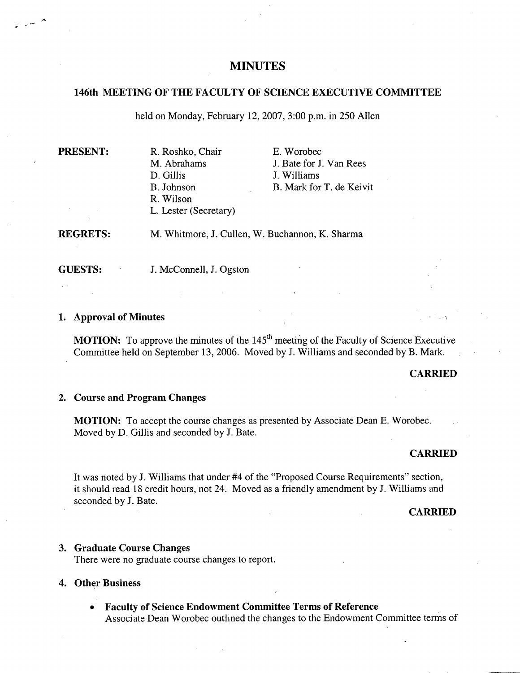# **MINUTES**

# **146th MEETING OF THE FACULTY OF SCIENCE EXECUTIVE COMMITTEE**

held on Monday, February 12, 2007, 3:00 p.m. in 250 Allen

| <b>PRESENT:</b> | R. Roshko, Chair      | E. Worobec               |
|-----------------|-----------------------|--------------------------|
|                 | M. Abrahams           | J. Bate for J. Van Rees  |
|                 | D. Gillis             | J. Williams              |
|                 | B. Johnson            | B. Mark for T. de Keivit |
|                 | R. Wilson             |                          |
|                 | L. Lester (Secretary) |                          |
|                 |                       |                          |

**REGRETS:**  Whitmore, J. Cullen, W. Buchannon, K. Sharma

**GUESTS:** J. McConnell, J. Ogston

## **Approval of Minutes**

**MOTION:** To approve the minutes of the  $145<sup>th</sup>$  meeting of the Faculty of Science Executive Committee held on September 13, 2006. Moved by J. Williams and seconded by B. Mark.

#### **CARRIED**

## **Course and Program Changes**

**MOTION:** To accept the course changes as presented by Associate Dean E. Worobec. Moved by D. Gillis and seconded by J. Bate.

#### **CARRIED**

It was noted by J. Williams that under #4 of the "Proposed Course Requirements" section, it should read 18 credit hours, not 24. Moved as a friendly amendment by J. Williams and seconded by J. Bate.

**CARRIED** 

## **Graduate Course Changes**

There were no graduate course changes to report.

## **Other Business**

**Faculty of Science Endowment Committee Terms of Reference**  Associate Dean Worobec outlined the changes to the Endowment Committee terms of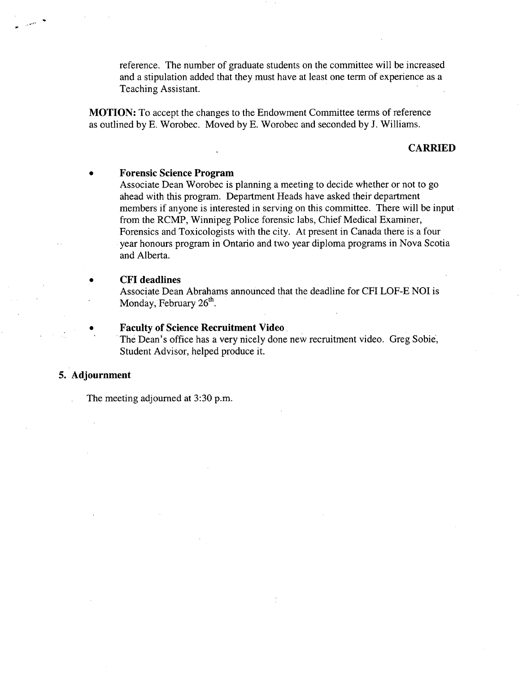reference. The number of graduate students on the committee will be increased and a stipulation added that they must have at least one term of experience as a Teaching Assistant.

**MOTION:** To accept the changes to the Endowment Committee terms of reference as outlined by B. Worobec. Moved by E. Worobec and seconded by J. Williams.

# **CARRIED**

# **Forensic Science Program**

Associate Dean Worobec is planning a meeting to decide whether or not to go ahead with this program. Department Heads have asked their department members if anyone is interested in serving on this committee. There will be input from the RCMP, Winnipeg Police forensic labs, Chief Medical Examiner, Forensics and Toxicologists with the city. At present in Canada there is a four year honours program in Ontario and two year diploma programs in Nova Scotia and Alberta.

## **CFI deadlines**

Associate Dean Abrahams announced that the deadline for CFI LOF-E NOI is Monday, February  $26<sup>th</sup>$ .

**Faculty of Science Recruitment Video.** 

The Dean's office has a very nicely done new recruitment video. Greg Sobie, Student Advisor, helped produce it.

# **5. Adjournment**

The meeting adjourned at 3:30 p.m.